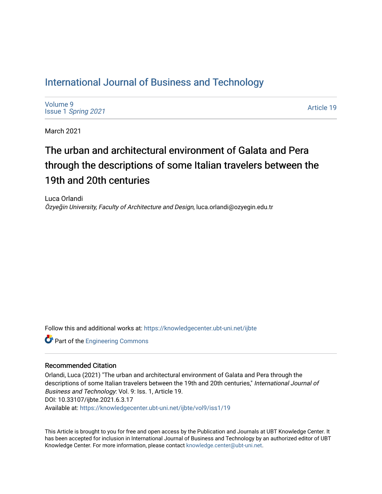## [International Journal of Business and Technology](https://knowledgecenter.ubt-uni.net/ijbte)

[Volume 9](https://knowledgecenter.ubt-uni.net/ijbte/vol9) Issue 1 [Spring 2021](https://knowledgecenter.ubt-uni.net/ijbte/vol9/iss1) 

[Article 19](https://knowledgecenter.ubt-uni.net/ijbte/vol9/iss1/19) 

March 2021

# The urban and architectural environment of Galata and Pera through the descriptions of some Italian travelers between the 19th and 20th centuries

Luca Orlandi Özyeğin University, Faculty of Architecture and Design, luca.orlandi@ozyegin.edu.tr

Follow this and additional works at: [https://knowledgecenter.ubt-uni.net/ijbte](https://knowledgecenter.ubt-uni.net/ijbte?utm_source=knowledgecenter.ubt-uni.net%2Fijbte%2Fvol9%2Fiss1%2F19&utm_medium=PDF&utm_campaign=PDFCoverPages) 

**Part of the [Engineering Commons](https://network.bepress.com/hgg/discipline/217?utm_source=knowledgecenter.ubt-uni.net%2Fijbte%2Fvol9%2Fiss1%2F19&utm_medium=PDF&utm_campaign=PDFCoverPages)** 

#### Recommended Citation

Orlandi, Luca (2021) "The urban and architectural environment of Galata and Pera through the descriptions of some Italian travelers between the 19th and 20th centuries," International Journal of Business and Technology: Vol. 9: Iss. 1, Article 19. DOI: 10.33107/ijbte.2021.6.3.17 Available at: [https://knowledgecenter.ubt-uni.net/ijbte/vol9/iss1/19](https://knowledgecenter.ubt-uni.net/ijbte/vol9/iss1/19?utm_source=knowledgecenter.ubt-uni.net%2Fijbte%2Fvol9%2Fiss1%2F19&utm_medium=PDF&utm_campaign=PDFCoverPages) 

This Article is brought to you for free and open access by the Publication and Journals at UBT Knowledge Center. It has been accepted for inclusion in International Journal of Business and Technology by an authorized editor of UBT Knowledge Center. For more information, please contact [knowledge.center@ubt-uni.net](mailto:knowledge.center@ubt-uni.net).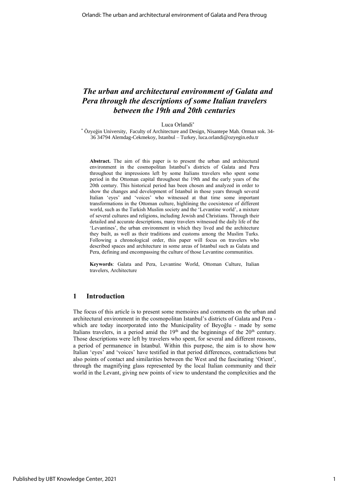### *The urban and architectural environment of Galata and Pera through the descriptions of some Italian travelers between the 19th and 20th centuries*

Luca Orlandi<sup>\*</sup>

\* Özyeğin University, Faculty of Architecture and Design, Nisantepe Mah. Orman sok. 34- 36 34794 Alemdag-Cekmekoy, Istanbul – Turkey, luca.orlandi@ozyegin.edu.tr

**Abstract.** The aim of this paper is to present the urban and architectural environment in the cosmopolitan Istanbul's districts of Galata and Pera throughout the impressions left by some Italians travelers who spent some period in the Ottoman capital throughout the 19th and the early years of the 20th century. This historical period has been chosen and analyzed in order to show the changes and development of Istanbul in those years through several Italian 'eyes' and 'voices' who witnessed at that time some important transformations in the Ottoman culture, highlining the coexistence of different world, such as the Turkish Muslim society and the 'Levantine world', a mixture of several cultures and religions, including Jewish and Christians. Through their detailed and accurate descriptions, many travelers witnessed the daily life of the 'Levantines', the urban environment in which they lived and the architecture they built, as well as their traditions and customs among the Muslim Turks. Following a chronological order, this paper will focus on travelers who described spaces and architecture in some areas of Istanbul such as Galata and Pera, defining and encompassing the culture of those Levantine communities.

**Keywords**: Galata and Pera, Levantine World, Ottoman Culture, Italian travelers, Architecture

#### **1 Introduction**

The focus of this article is to present some memoires and comments on the urban and architectural environment in the cosmopolitan Istanbul's districts of Galata and Pera which are today incorporated into the Municipality of Beyoğlu - made by some Italians travelers, in a period amid the  $19<sup>th</sup>$  and the beginnings of the  $20<sup>th</sup>$  century. Those descriptions were left by travelers who spent, for several and different reasons, a period of permanence in Istanbul. Within this purpose, the aim is to show how Italian 'eyes' and 'voices' have testified in that period differences, contradictions but also points of contact and similarities between the West and the fascinating 'Orient', through the magnifying glass represented by the local Italian community and their world in the Levant, giving new points of view to understand the complexities and the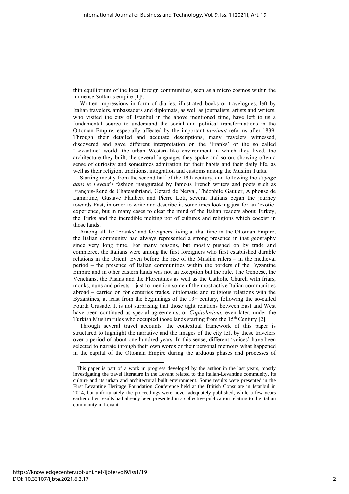thin equilibrium of the local foreign communities, seen as a micro cosmos within the immense Sultan's empire [1] 1 .

Written impressions in form of diaries, illustrated books or travelogues, left by Italian travelers, ambassadors and diplomats, as well as journalists, artists and writers, who visited the city of Istanbul in the above mentioned time, have left to us a fundamental source to understand the social and political transformations in the Ottoman Empire, especially affected by the important *tanzimat* reforms after 1839. Through their detailed and accurate descriptions, many travelers witnessed, discovered and gave different interpretation on the 'Franks' or the so called 'Levantine' world: the urban Western-like environment in which they lived, the architecture they built, the several languages they spoke and so on, showing often a sense of curiosity and sometimes admiration for their habits and their daily life, as well as their religion, traditions, integration and customs among the Muslim Turks.

Starting mostly from the second half of the 19th century, and following the *Voyage dans le Levant*'s fashion inaugurated by famous French writers and poets such as François-René de Chateaubriand, Gérard de Nerval, Théophile Gautier, Alphonse de Lamartine, Gustave Flaubert and Pierre Loti, several Italians began the journey towards East, in order to write and describe it, sometimes looking just for an 'exotic' experience, but in many cases to clear the mind of the Italian readers about Turkey, the Turks and the incredible melting pot of cultures and religions which coexist in those lands.

Among all the 'Franks' and foreigners living at that time in the Ottoman Empire, the Italian community had always represented a strong presence in that geography since very long time. For many reasons, but mostly pushed on by trade and commerce, the Italians were among the first foreigners who first established durable relations in the Orient. Even before the rise of the Muslim rulers – in the medieval period – the presence of Italian communities within the borders of the Byzantine Empire and in other eastern lands was not an exception but the rule. The Genoese, the Venetians, the Pisans and the Florentines as well as the Catholic Church with friars, monks, nuns and priests – just to mention some of the most active Italian communities abroad – carried on for centuries trades, diplomatic and religious relations with the Byzantines, at least from the beginnings of the  $13<sup>th</sup>$  century, following the so-called Fourth Crusade. It is not surprising that those tight relations between East and West have been continued as special agreements, or *Capitolazioni,* even later, under the Turkish Muslim rules who occupied those lands starting from the 15<sup>th</sup> Century [2].

Through several travel accounts, the contextual framework of this paper is structured to highlight the narrative and the images of the city left by these travelers over a period of about one hundred years. In this sense, different 'voices' have been selected to narrate through their own words or their personal memoirs what happened in the capital of the Ottoman Empire during the arduous phases and processes of

<sup>&</sup>lt;sup>1</sup> This paper is part of a work in progress developed by the author in the last years, mostly investigating the travel literature in the Levant related to the Italian-Levantine community, its culture and its urban and architectural built environment. Some results were presented in the First Levantine Heritage Foundation Conference held at the British Consulate in Istanbul in 2014, but unfortunately the proceedings were never adequately published, while a few years earlier other results had already been presented in a collective publication relating to the Italian community in Levant.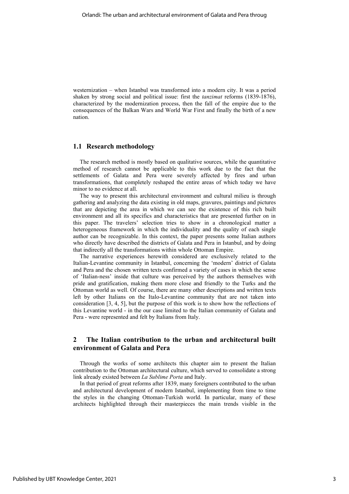westernization – when Istanbul was transformed into a modern city. It was a period shaken by strong social and political issue: first the *tanzimat* reforms (1839-1876), characterized by the modernization process, then the fall of the empire due to the consequences of the Balkan Wars and World War First and finally the birth of a new nation.

#### **1.1 Research methodology**

The research method is mostly based on qualitative sources, while the quantitative method of research cannot be applicable to this work due to the fact that the settlements of Galata and Pera were severely affected by fires and urban transformations, that completely reshaped the entire areas of which today we have minor to no evidence at all.

The way to present this architectural environment and cultural milieu is through gathering and analyzing the data existing in old maps, gravures, paintings and pictures that are depicting the area in which we can see the existence of this rich built environment and all its specifics and characteristics that are presented further on in this paper. The travelers' selection tries to show in a chronological matter a heterogeneous framework in which the individuality and the quality of each single author can be recognizable. In this context, the paper presents some Italian authors who directly have described the districts of Galata and Pera in Istanbul, and by doing that indirectly all the transformations within whole Ottoman Empire.

The narrative experiences herewith considered are exclusively related to the Italian-Levantine community in Istanbul, concerning the 'modern' district of Galata and Pera and the chosen written texts confirmed a variety of cases in which the sense of 'Italian-ness' inside that culture was perceived by the authors themselves with pride and gratification, making them more close and friendly to the Turks and the Ottoman world as well. Of course, there are many other descriptions and written texts left by other Italians on the Italo-Levantine community that are not taken into consideration [3, 4, 5], but the purpose of this work is to show how the reflections of this Levantine world - in the our case limited to the Italian community of Galata and Pera - were represented and felt by Italians from Italy.

#### **2 The Italian contribution to the urban and architectural built environment of Galata and Pera**

Through the works of some architects this chapter aim to present the Italian contribution to the Ottoman architectural culture, which served to consolidate a strong link already existed between *La Sublime Porta* and Italy.

In that period of great reforms after 1839, many foreigners contributed to the urban and architectural development of modern Istanbul, implementing from time to time the styles in the changing Ottoman-Turkish world. In particular, many of these architects highlighted through their masterpieces the main trends visible in the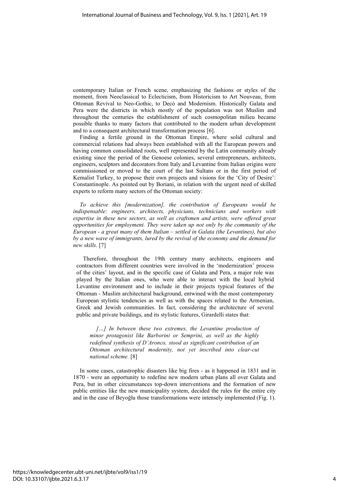contemporary Italian or French scene, emphasizing the fashions or styles of the moment, from Neoclassical to Eclecticism, from Historicism to Art Nouveau, from Ottoman Revival to Neo-Gothic, to Decò and Modernism. Historically Galata and Pera were the districts in which mostly of the population was not Muslim and throughout the centuries the establishment of such cosmopolitan milieu became possible thanks to many factors that contributed to the modern urban development and to a consequent architectural transformation process [6].

Finding a fertile ground in the Ottoman Empire, where solid cultural and commercial relations had always been established with all the European powers and having common consolidated roots, well represented by the Latin community already existing since the period of the Genoese colonies, several entrepreneurs, architects, engineers, sculptors and decorators from Italy and Levantine from Italian origins were commissioned or moved to the court of the last Sultans or in the first period of Kemalist Turkey, to propose their own projects and visions for the 'City of Desire': Constantinople. As pointed out by Boriani, in relation with the urgent need of skilled experts to reform many sectors of the Ottoman society:

*To achieve this [modernization], the contribution of Europeans would be indispensable: engineers, architects, physicians, technicians and workers with expertise in these new sectors, as well as craftsmen and artists, were offered great opportunities for employment. They were taken up not only by the community of the European - a great many of them Italian – settled in Galata (the Levantines), but also by a new wave of immigrants, lured by the revival of the economy and the demand for new skills*. [7]

Therefore, throughout the 19th century many architects, engineers and contractors from different countries were involved in the 'modernization' process of the cities' layout, and in the specific case of Galata and Pera, a major role was played by the Italian ones, who were able to interact with the local hybrid Levantine environment and to include in their projects typical features of the Ottoman - Muslim architectural background, entwined with the most contemporary European stylistic tendencies as well as with the spaces related to the Armenian, Greek and Jewish communities. In fact, considering the architecture of several public and private buildings, and its stylistic features, Girardelli states that:

*[…] In between these two extremes, the Levantine production of minor protagonist like Barborini or Semprini, as well as the highly redefined synthesis of D'Aronco, stood as significant contribution of an Ottoman architectural modernity, not yet inscribed into clear-cut national scheme.* [8]

In some cases, catastrophic disasters like big fires - as it happened in 1831 and in 1870 - were an opportunity to redefine new modern urban plans all over Galata and Pera, but in other circumstances top-down interventions and the formation of new public entities like the new municipality system, decided the rules for the entire city and in the case of Beyoğlu those transformations were intensely implemented (Fig. 1).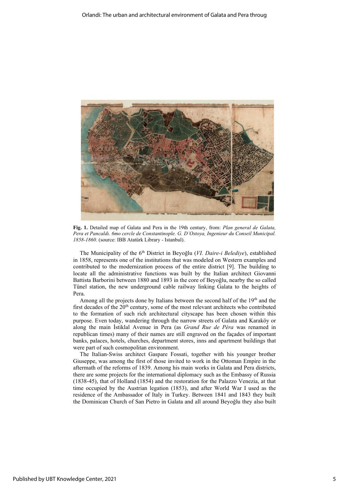

**Fig. 1.** Detailed map of Galata and Pera in the 19th century, from: *Plan general de Galata, Pera et Pancaldı. 6mo cercle de Constantinople. G. D'Ostoya, Ingenieur du Conseil Municipal. 1858-1860*. (source: IBB Atatürk Library - Istanbul).

The Municipality of the 6<sup>th</sup> District in Beyoğlu (*VI. Daire-i Belediye*), established in 1858, represents one of the institutions that was modeled on Western examples and contributed to the modernization process of the entire district [9]. The building to locate all the administrative functions was built by the Italian architect Giovanni Battista Barborini between 1880 and 1893 in the core of Beyoğlu, nearby the so called Tünel station, the new underground cable railway linking Galata to the heights of Pera.

Among all the projects done by Italians between the second half of the  $19<sup>th</sup>$  and the first decades of the 20<sup>th</sup> century, some of the most relevant architects who contributed to the formation of such rich architectural cityscape has been chosen within this purpose. Even today, wandering through the narrow streets of Galata and Karaköy or along the main İstiklal Avenue in Pera (as *Grand Rue de Péra* was renamed in republican times) many of their names are still engraved on the façades of important banks, palaces, hotels, churches, department stores, inns and apartment buildings that were part of such cosmopolitan environment.

The Italian-Swiss architect Gaspare Fossati, together with his younger brother Giuseppe, was among the first of those invited to work in the Ottoman Empire in the aftermath of the reforms of 1839. Among his main works in Galata and Pera districts, there are some projects for the international diplomacy such as the Embassy of Russia (1838-45), that of Holland (1854) and the restoration for the Palazzo Venezia, at that time occupied by the Austrian legation (1853), and after World War I used as the residence of the Ambassador of Italy in Turkey. Between 1841 and 1843 they built the Dominican Church of San Pietro in Galata and all around Beyoğlu they also built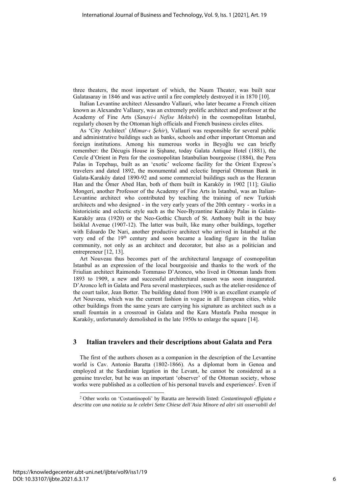three theaters, the most important of which, the Naum Theater, was built near Galatasaray in 1846 and was active until a fire completely destroyed it in 1870 [10].

Italian Levantine architect Alessandro Vallauri, who later became a French citizen known as Alexandre Vallaury, was an extremely prolific architect and professor at the Academy of Fine Arts (*Sanayi-i Nefise Mektebi*) in the cosmopolitan Istanbul, regularly chosen by the Ottoman high officials and French business circles elites.

As 'City Architect' (*Mimar-ı Şehir*), Vallauri was responsible for several public and administrative buildings such as banks, schools and other important Ottoman and foreign institutions. Among his numerous works in Beyoğlu we can briefly remember: the Décugis House in Şişhane, today Galata Antique Hotel (1881), the Cercle d'Orient in Pera for the cosmopolitan Istanbulian bourgeoise (1884), the Pera Palas in Tepebaşı, built as an 'exotic' welcome facility for the Orient Express's travelers and dated 1892, the monumental and eclectic Imperial Ottoman Bank in Galata-Karaköy dated 1890-92 and some commercial buildings such as the Hezaran Han and the Ömer Abed Han, both of them built in Karaköy in 1902 [11]; Giulio Mongeri, another Professor of the Academy of Fine Arts in Istanbul, was an Italian-Levantine architect who contributed by teaching the training of new Turkish architects and who designed - in the very early years of the 20th century - works in a historicistic and eclectic style such as the Neo-Byzantine Karaköy Palas in Galata-Karaköy area (1920) or the Neo-Gothic Church of St. Anthony built in the busy İstiklal Avenue (1907-12). The latter was built, like many other buildings, together with Edoardo De Nari, another productive architect who arrived in Istanbul at the very end of the 19<sup>th</sup> century and soon became a leading figure in the Italian community, not only as an architect and decorator, but also as a politician and entrepreneur [12, 13].

Art Nouveau thus becomes part of the architectural language of cosmopolitan Istanbul as an expression of the local bourgeoisie and thanks to the work of the Friulian architect Raimondo Tommaso D'Aronco, who lived in Ottoman lands from 1893 to 1909, a new and successful architectural season was soon inaugurated. D'Aronco left in Galata and Pera several masterpieces, such as the atelier-residence of the court tailor, Jean Botter. The building dated from 1900 is an excellent example of Art Nouveau, which was the current fashion in vogue in all European cities, while other buildings from the same years are carrying his signature as architect such as a small fountain in a crossroad in Galata and the Kara Mustafa Pasha mosque in Karaköy, unfortunately demolished in the late 1950s to enlarge the square [14].

#### **3 Italian travelers and their descriptions about Galata and Pera**

The first of the authors chosen as a companion in the description of the Levantine world is Cav. Antonio Baratta (1802-1866). As a diplomat born in Genoa and employed at the Sardinian legation in the Levant, he cannot be considered as a genuine traveler, but he was an important 'observer' of the Ottoman society, whose works were published as a collection of his personal travels and experiences<sup>2</sup>. Even if

<sup>2</sup> Other works on 'Costantinopoli' by Baratta are herewith listed: *Costantinopoli effigiata e descritta con una notizia su le celebri Sette Chiese dell'Asia Minore ed altri siti osservabili del*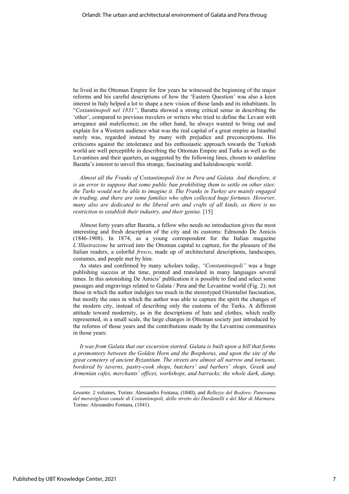he lived in the Ottoman Empire for few years he witnessed the beginning of the major reforms and his careful descriptions of how the 'Eastern Question' was also a keen interest in Italy helped a lot to shape a new vision of those lands and its inhabitants. In "*Costantinopoli nel 1831"*, Baratta showed a strong critical sense in describing the 'other', compared to previous travelers or writers who tried to define the Levant with arrogance and maleficence; on the other hand, he always wanted to bring out and explain for a Western audience what was the real capital of a great empire as Istanbul surely was, regarded instead by many with prejudice and preconceptions. His criticisms against the intolerance and his enthusiastic approach towards the Turkish world are well perceptible in describing the Ottoman Empire and Turks as well as the Levantines and their quarters, as suggested by the following lines, chosen to underline Baratta's interest to unveil this strange, fascinating and kaleidoscopic world:

*Almost all the Franks of Costantinopoli live in Pera and Galata. And therefore, it is an error to suppose that some public ban prohibiting them to settle on other sites: the Turks would not be able to imagine it. The Franks in Turkey are mainly engaged*  in trading, and there are some families who often collected huge fortunes. However, *many also are dedicated to the liberal arts and crafts of all kinds, as there is no restriction to establish their industry, and their genius.* [15]

Almost forty years after Baratta, a fellow who needs no introduction gives the most interesting and fresh description of the city and its customs: Edmondo De Amicis (1846-1908). In 1874, as a young correspondent for the Italian magazine *L'Illustrazione* he arrived into the Ottoman capital to capture, for the pleasure of the Italian readers, a colorful *fresco*, made up of architectural descriptions, landscapes, costumes, and people met by him.

As states and confirmed by many scholars today, *"Constantinopoli"* was a huge publishing success at the time, printed and translated in many languages several times. In this astonishing De Amicis' publication it is possible to find and select some passages and engravings related to Galata / Pera and the Levantine world (Fig. 2); not those in which the author indulges too much in the stereotyped Orientalist fascination, but mostly the ones in which the author was able to capture the spirit the changes of the modern city, instead of describing only the customs of the Turks. A different attitude toward modernity, as in the descriptions of hats and clothes, which really represented, in a small scale, the large changes in Ottoman society just introduced by the reforms of those years and the contributions made by the Levantine communities in those years:

*It was from Galata that our excursion started. Galata is built upon a hill that forms a promontory between the Golden Horn and the Bosphorus, and upon the site of the great cemetery of ancient Byzantium. The streets are almost all narrow and tortuous, bordered by taverns, pastry-cook shops, butchers' and barbers' shops, Greek and Armenian cafes, merchants' offices, workshops, and barracks; the whole dark, damp,* 

*Levante.* 2 volumes, Torino: Alessandro Fontana, (1840), and *Bellezze del Bosforo. Panorama del meraviglioso canale di Costantinopoli, dello stretto dei Dardanelli e del Mar di Marmara.* Torino: Alessandro Fontana, (1841).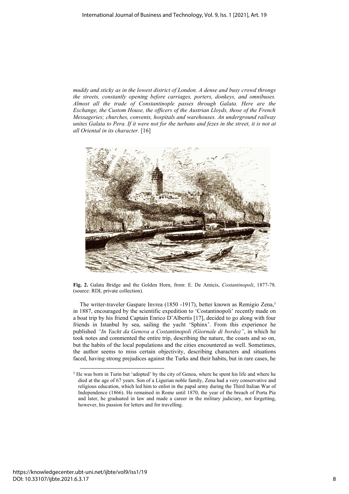*muddy and sticky as in the lowest district of London. A dense and busy crowd throngs the streets, constantly opening before carriages, porters, donkeys, and omnibuses. Almost all the trade of Constantinople passes through Galata. Here are the Exchange, the Custom House, the officers of the Austrian Lloyds, those of the French Messageries; churches, convents, hospitals and warehouses. An underground railway unites Galata to Pera. If it were not for the turbans and fezes in the street, it is not at all Oriental in its character.* [16]



**Fig. 2.** Galata Bridge and the Golden Horn, from: E. De Amicis, *Costantinopoli*, 1877-78. (source: RDL private collection).

The writer-traveler Gaspare Invrea (1850 -1917), better known as Remigio Zena, 3 in 1887, encouraged by the scientific expedition to 'Costantinopoli' recently made on a boat trip by his friend Captain Enrico D'Albertis [17], decided to go along with four friends in Istanbul by sea, sailing the yacht 'Sphinx'. From this experience he published *"In Yacht da Genova a Costantinopoli (Giornale di bordo)"*, in which he took notes and commented the entire trip, describing the nature, the coasts and so on, but the habits of the local populations and the cities encountered as well. Sometimes, the author seems to miss certain objectivity, describing characters and situations faced, having strong prejudices against the Turks and their habits, but in rare cases, he

<sup>&</sup>lt;sup>3</sup> He was born in Turin but 'adopted' by the city of Genoa, where he spent his life and where he died at the age of 67 years. Son of a Ligurian noble family, Zena had a very conservative and religious education, which led him to enlist in the papal army during the Third Italian War of Independence (1866). He remained in Rome until 1870, the year of the breach of Porta Pia and later, he graduated in law and made a career in the military judiciary, not forgetting, however, his passion for letters and for travelling.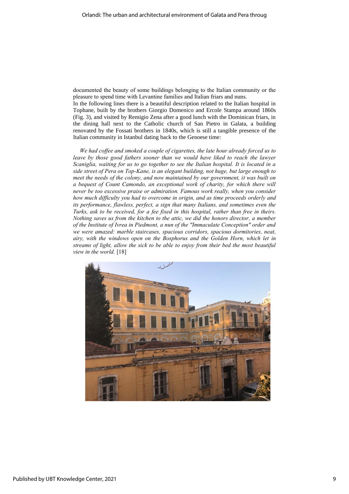documented the beauty of some buildings belonging to the Italian community or the pleasure to spend time with Levantine families and Italian friars and nuns.

In the following lines there is a beautiful description related to the Italian hospital in Tophane, built by the brothers Giorgio Domenico and Ercole Stampa around 1860s (Fig. 3), and visited by Remigio Zena after a good lunch with the Dominican friars, in the dining hall next to the Catholic church of San Pietro in Galata, a building renovated by the Fossati brothers in 1840s, which is still a tangible presence of the Italian community in Istanbul dating back to the Genoese time:

*We had coffee and smoked a couple of cigarettes, the late hour already forced us to*  leave by those good fathers sooner than we would have liked to reach the lawyer *Scaniglia, waiting for us to go together to see the Italian hospital. It is located in a side street of Pera on Top-Kane, is an elegant building, not huge, but large enough to meet the needs of the colony, and now maintained by our government, it was built on a bequest of Count Camondo, an exceptional work of charity, for which there will never be too excessive praise or admiration. Famous work really, when you consider how much difficulty you had to overcome in origin, and as time proceeds orderly and its performance, flawless, perfect, a sign that many Italians, and sometimes even the Turks, ask to be received, for a fee fixed in this hospital, rather than free in theirs. Nothing saves us from the kitchen to the attic, we did the honors director, a member of the Institute of Ivrea in Piedmont, a nun of the "Immaculate Conception" order and we were amazed: marble staircases, spacious corridors, spacious dormitories, neat, airy, with the windows open on the Bosphorus and the Golden Horn, which let in streams of light, allow the sick to be able to enjoy from their bed the most beautiful view in the world.* [18]

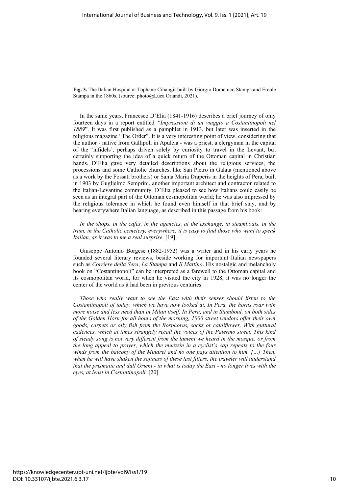**Fig. 3.** The Italian Hospital at Tophane-Cihangir built by Giorgio Domenico Stampa and Ercole Stampa in the 1860s. (source: photo@Luca Orlandi, 2021).

In the same years, Francesco D'Elia (1841-1916) describes a brief journey of only fourteen days in a report entitled *"Impressioni di un viaggio a Costantinopoli nel 1889*". It was first published as a pamphlet in 1913, but later was inserted in the religious magazine "The Order". It is a very interesting point of view, considering that the author - native from Gallipoli in Apuleia - was a priest, a clergyman in the capital of the 'infidels', perhaps driven solely by curiosity to travel in the Levant, but certainly supporting the idea of a quick return of the Ottoman capital in Christian hands. D'Elia gave very detailed descriptions about the religious services, the processions and some Catholic churches, like San Pietro in Galata (mentioned above as a work by the Fossati brothers) or Santa Maria Draperis in the heights of Pera, built in 1903 by Guglielmo Semprini, another important architect and contractor related to the Italian-Levantine community. D'Elia pleased to see how Italians could easily be seen as an integral part of the Ottoman cosmopolitan world; he was also impressed by the religious tolerance in which he found even himself in that brief stay, and by hearing everywhere Italian language, as described in this passage from his book:

In the shops, in the cafes, in the agencies, at the exchange, in steamboats, in the *tram, in the Catholic cemetery, everywhere, it is easy to find those who want to speak Italian, as it was to me a real surprise.* [19]

Giuseppe Antonio Borgese (1882-1952) was a writer and in his early years he founded several literary reviews, beside working for important Italian newspapers such as *Corriere della Sera*, *La Stampa* and *Il Mattino*. His nostalgic and melancholy book on "Costantinopoli" can be interpreted as a farewell to the Ottoman capital and its cosmopolitan world, for when he visited the city in 1928, it was no longer the center of the world as it had been in previous centuries.

*Those who really want to see the East with their senses should listen to the Costantinopoli of today, which we have now looked at. In Pera, the horns roar with more noise and less need than in Milan itself. In Pera, and in Stamboul, on both sides of the Golden Horn for all hours of the morning, 1000 street vendors offer their own goods, carpets or oily fish from the Bosphorus, socks or cauliflower. With guttural cadences, which at times strangely recall the voices of the Palermo street. This kind of steady song is not very different from the lament we heard in the mosque, or from the long appeal to prayer, which the muezzin in a cyclist's cap repeats to the four winds from the balcony of the Minaret and no one pays attention to him. […] Then,*  when he will have shaken the softness of these last filters, the traveler will understand *that the prismatic and dull Orient - in what is today the East - no longer lives with the eyes, at least in Costantinopoli.* [20]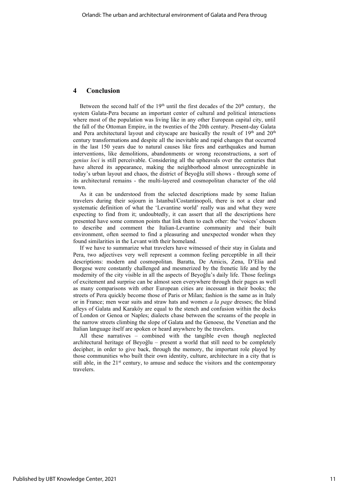#### **4 Conclusion**

Between the second half of the  $19<sup>th</sup>$  until the first decades of the  $20<sup>th</sup>$  century, the system Galata-Pera became an important center of cultural and political interactions where most of the population was living like in any other European capital city, until the fall of the Ottoman Empire, in the twenties of the 20th century. Present-day Galata and Pera architectural layout and cityscape are basically the result of  $19<sup>th</sup>$  and  $20<sup>th</sup>$ century transformations and despite all the inevitable and rapid changes that occurred in the last 150 years due to natural causes like fires and earthquakes and human interventions, like demolitions, abandonments or wrong reconstructions, a sort of *genius loci* is still perceivable. Considering all the upheavals over the centuries that have altered its appearance, making the neighborhood almost unrecognizable in today's urban layout and chaos, the district of Beyoğlu still shows - through some of its architectural remains - the multi-layered and cosmopolitan character of the old town.

As it can be understood from the selected descriptions made by some Italian travelers during their sojourn in Istanbul/Costantinopoli, there is not a clear and systematic definition of what the 'Levantine world' really was and what they were expecting to find from it; undoubtedly, it can assert that all the descriptions here presented have some common points that link them to each other: the 'voices' chosen to describe and comment the Italian-Levantine community and their built environment, often seemed to find a pleasuring and unexpected wonder when they found similarities in the Levant with their homeland.

If we have to summarize what travelers have witnessed of their stay in Galata and Pera, two adjectives very well represent a common feeling perceptible in all their descriptions: modern and cosmopolitan. Baratta, De Amicis, Zena, D'Elia and Borgese were constantly challenged and mesmerized by the frenetic life and by the modernity of the city visible in all the aspects of Beyoğlu's daily life. Those feelings of excitement and surprise can be almost seen everywhere through their pages as well as many comparisons with other European cities are incessant in their books; the streets of Pera quickly become those of Paris or Milan; fashion is the same as in Italy or in France; men wear suits and straw hats and women *a la page* dresses; the blind alleys of Galata and Karaköy are equal to the stench and confusion within the docks of London or Genoa or Naples; dialects chase between the screams of the people in the narrow streets climbing the slope of Galata and the Genoese, the Venetian and the Italian language itself are spoken or heard anywhere by the travelers.

All these narratives – combined with the tangible even though neglected architectural heritage of Beyoğlu – present a world that still need to be completely decipher, in order to give back, through the memory, the important role played by those communities who built their own identity, culture, architecture in a city that is still able, in the  $21<sup>st</sup>$  century, to amuse and seduce the visitors and the contemporary travelers.